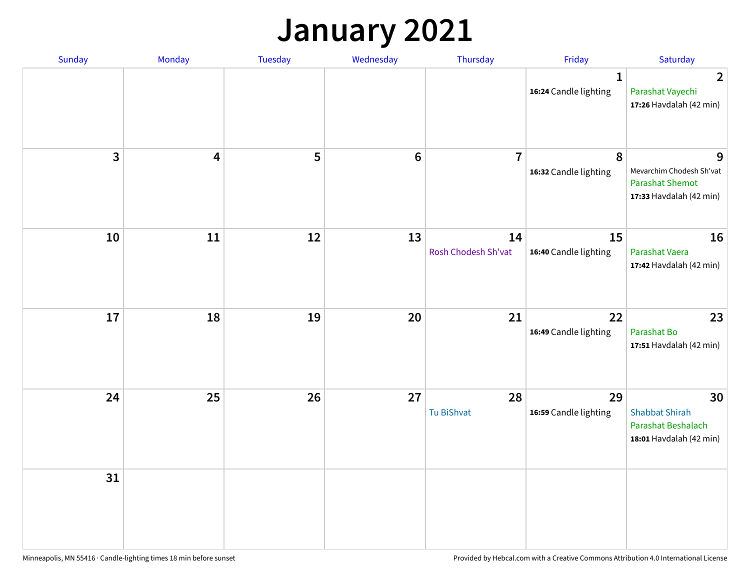## **January 2021**

| Sunday                  | Monday                  | Tuesday | Wednesday | Thursday                  | Friday                                | Saturday                                                                           |
|-------------------------|-------------------------|---------|-----------|---------------------------|---------------------------------------|------------------------------------------------------------------------------------|
|                         |                         |         |           |                           | $\mathbf{1}$<br>16:24 Candle lighting | $\overline{2}$<br>Parashat Vayechi<br>17:26 Havdalah (42 min)                      |
| $\overline{\mathbf{3}}$ | $\overline{\mathbf{4}}$ | 5       | $\bf 6$   | $\overline{7}$            | 8<br>16:32 Candle lighting            | 9<br>Mevarchim Chodesh Sh'vat<br><b>Parashat Shemot</b><br>17:33 Havdalah (42 min) |
| 10                      | 11                      | 12      | 13        | 14<br>Rosh Chodesh Sh'vat | 15<br>16:40 Candle lighting           | 16<br>Parashat Vaera<br>17:42 Havdalah (42 min)                                    |
| 17                      | 18                      | 19      | 20        | 21                        | 22<br>16:49 Candle lighting           | 23<br>Parashat Bo<br>17:51 Havdalah (42 min)                                       |
| 24                      | 25                      | 26      | 27        | 28<br>Tu BiShvat          | 29<br>16:59 Candle lighting           | 30<br><b>Shabbat Shirah</b><br>Parashat Beshalach<br>18:01 Havdalah (42 min)       |
| 31                      |                         |         |           |                           |                                       |                                                                                    |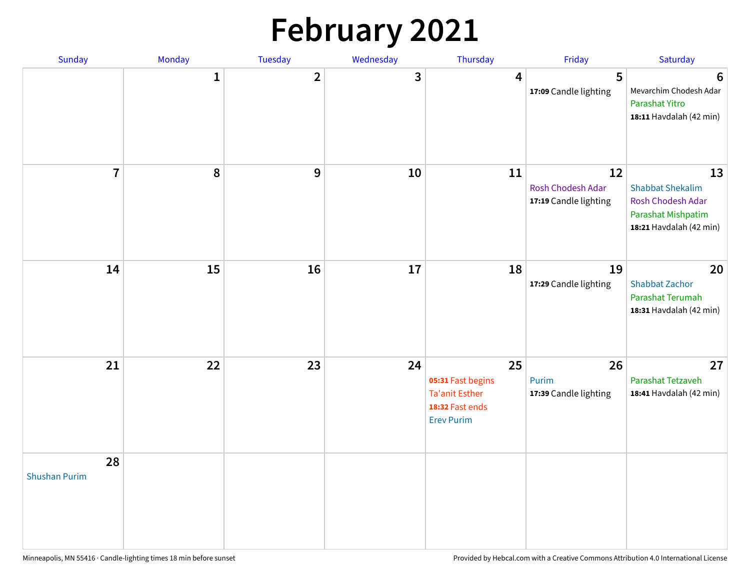# **February 2021**

| Sunday                     | Monday       | <b>Tuesday</b> | Wednesday | Thursday                                                                                 | Friday                                           | Saturday                                                                                            |
|----------------------------|--------------|----------------|-----------|------------------------------------------------------------------------------------------|--------------------------------------------------|-----------------------------------------------------------------------------------------------------|
|                            | $\mathbf{1}$ | $\overline{2}$ | 3         | 4                                                                                        | 5<br>17:09 Candle lighting                       | $6\phantom{1}6$<br>Mevarchim Chodesh Adar<br>Parashat Yitro<br>18:11 Havdalah (42 min)              |
| $\overline{7}$             | ${\bf 8}$    | 9              | 10        | 11                                                                                       | 12<br>Rosh Chodesh Adar<br>17:19 Candle lighting | 13<br><b>Shabbat Shekalim</b><br>Rosh Chodesh Adar<br>Parashat Mishpatim<br>18:21 Havdalah (42 min) |
| 14                         | 15           | 16             | 17        | 18                                                                                       | 19<br>17:29 Candle lighting                      | 20<br><b>Shabbat Zachor</b><br>Parashat Terumah<br>18:31 Havdalah (42 min)                          |
| 21                         | 22           | 23             | 24        | 25<br>05:31 Fast begins<br><b>Ta'anit Esther</b><br>18:32 Fast ends<br><b>Erev Purim</b> | 26<br>Purim<br>17:39 Candle lighting             | 27<br>Parashat Tetzaveh<br>18:41 Havdalah (42 min)                                                  |
| 28<br><b>Shushan Purim</b> |              |                |           |                                                                                          |                                                  |                                                                                                     |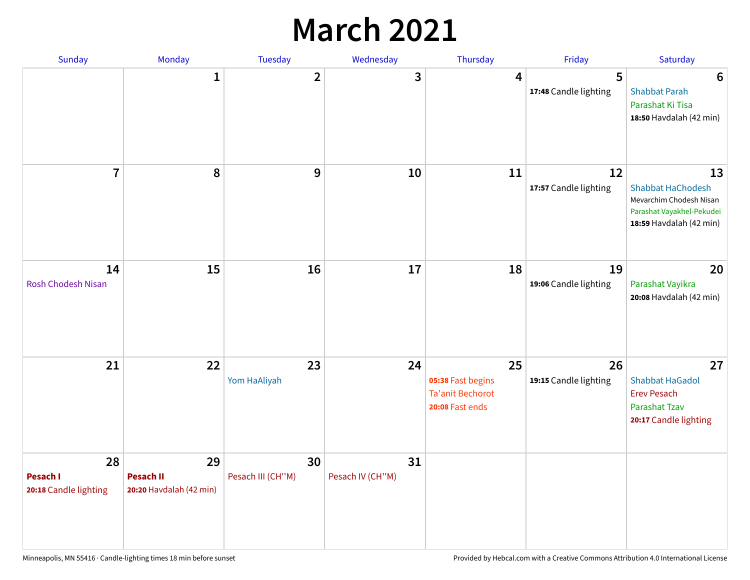## **March 2021**

| Sunday                                  | Monday                                            | Tuesday                 | Wednesday              | Thursday                                                              | Friday                      | Saturday                                                                                                          |
|-----------------------------------------|---------------------------------------------------|-------------------------|------------------------|-----------------------------------------------------------------------|-----------------------------|-------------------------------------------------------------------------------------------------------------------|
|                                         | 1                                                 | $\overline{\mathbf{2}}$ | 3                      | 4                                                                     | 5<br>17:48 Candle lighting  | $6\phantom{1}6$<br><b>Shabbat Parah</b><br>Parashat Ki Tisa<br>18:50 Havdalah (42 min)                            |
| $\overline{7}$                          | 8                                                 | 9                       | 10                     | 11                                                                    | 12<br>17:57 Candle lighting | 13<br><b>Shabbat HaChodesh</b><br>Mevarchim Chodesh Nisan<br>Parashat Vayakhel-Pekudei<br>18:59 Havdalah (42 min) |
| 14<br><b>Rosh Chodesh Nisan</b>         | 15                                                | 16                      | 17                     | 18                                                                    | 19<br>19:06 Candle lighting | 20<br>Parashat Vayikra<br>20:08 Havdalah (42 min)                                                                 |
| 21                                      | 22                                                | 23<br>Yom HaAliyah      | 24                     | 25<br>05:38 Fast begins<br><b>Ta'anit Bechorot</b><br>20:08 Fast ends | 26<br>19:15 Candle lighting | 27<br><b>Shabbat HaGadol</b><br><b>Erev Pesach</b><br>Parashat Tzav<br>20:17 Candle lighting                      |
| 28<br>Pesach I<br>20:18 Candle lighting | 29<br><b>Pesach II</b><br>20:20 Havdalah (42 min) | 30<br>Pesach III (CH"M) | 31<br>Pesach IV (CH"M) |                                                                       |                             |                                                                                                                   |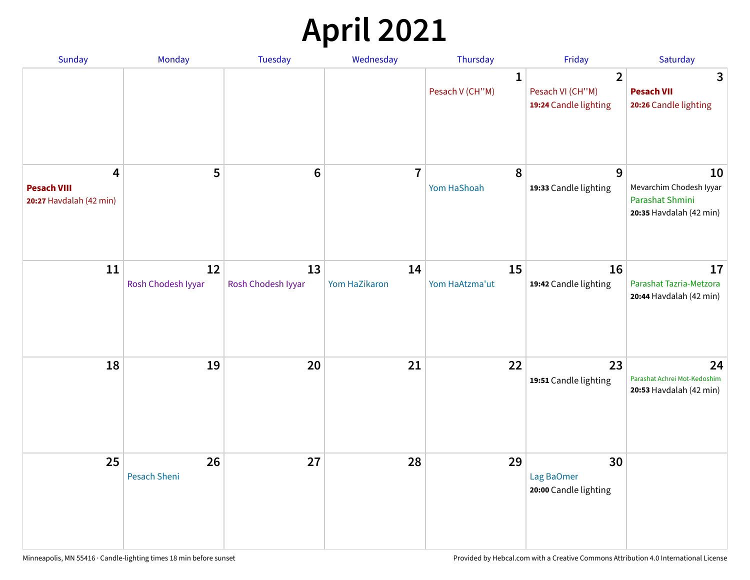# **April 2021**

| Sunday                                             | Monday                    | <b>Tuesday</b>           | Wednesday           | Thursday                        | Friday                                                      | Saturday                                                                    |
|----------------------------------------------------|---------------------------|--------------------------|---------------------|---------------------------------|-------------------------------------------------------------|-----------------------------------------------------------------------------|
|                                                    |                           |                          |                     | $\mathbf{1}$<br>Pesach V (CH"M) | $\overline{2}$<br>Pesach VI (CH"M)<br>19:24 Candle lighting | 3<br><b>Pesach VII</b><br>20:26 Candle lighting                             |
| 4<br><b>Pesach VIII</b><br>20:27 Havdalah (42 min) | 5                         | $6\phantom{1}6$          | $\overline{7}$      | 8<br>Yom HaShoah                | 9<br>19:33 Candle lighting                                  | 10<br>Mevarchim Chodesh Iyyar<br>Parashat Shmini<br>20:35 Havdalah (42 min) |
| 11                                                 | 12<br>Rosh Chodesh Iyyar  | 13<br>Rosh Chodesh Iyyar | 14<br>Yom HaZikaron | 15<br>Yom HaAtzma'ut            | 16<br>19:42 Candle lighting                                 | 17<br>Parashat Tazria-Metzora<br>20:44 Havdalah (42 min)                    |
| 18                                                 | 19                        | 20                       | 21                  | 22                              | 23<br>19:51 Candle lighting                                 | 24<br>Parashat Achrei Mot-Kedoshim<br>20:53 Havdalah (42 min)               |
| 25                                                 | 26<br><b>Pesach Sheni</b> | 27                       | 28                  | 29                              | 30<br>Lag BaOmer<br>20:00 Candle lighting                   |                                                                             |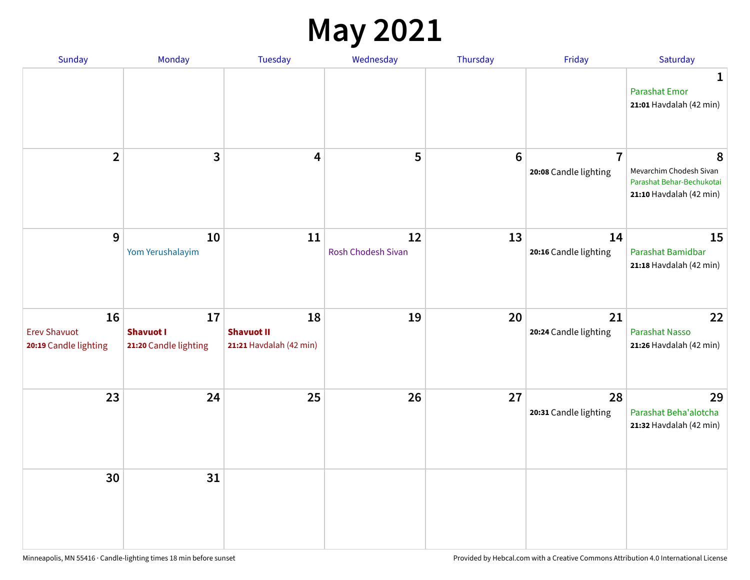#### **May 2021**

| Sunday                                             | Monday                                          | Tuesday                                            | Wednesday                       | Thursday       | Friday                                  | Saturday                                                                             |
|----------------------------------------------------|-------------------------------------------------|----------------------------------------------------|---------------------------------|----------------|-----------------------------------------|--------------------------------------------------------------------------------------|
|                                                    |                                                 |                                                    |                                 |                |                                         | 1<br><b>Parashat Emor</b><br>21:01 Havdalah (42 min)                                 |
| $\overline{2}$                                     | $\mathbf{3}$                                    | 4                                                  | 5                               | $6\phantom{1}$ | $\overline{7}$<br>20:08 Candle lighting | 8<br>Mevarchim Chodesh Sivan<br>Parashat Behar-Bechukotai<br>21:10 Havdalah (42 min) |
| 9                                                  | 10<br>Yom Yerushalayim                          | 11                                                 | 12<br><b>Rosh Chodesh Sivan</b> | 13             | 14<br>20:16 Candle lighting             | 15<br>Parashat Bamidbar<br>21:18 Havdalah (42 min)                                   |
| 16<br><b>Erev Shavuot</b><br>20:19 Candle lighting | 17<br><b>Shavuot I</b><br>21:20 Candle lighting | 18<br><b>Shavuot II</b><br>21:21 Havdalah (42 min) | 19                              | 20             | 21<br>20:24 Candle lighting             | 22<br><b>Parashat Nasso</b><br>21:26 Havdalah (42 min)                               |
| 23                                                 | 24                                              | 25                                                 | 26                              | 27             | 28<br>20:31 Candle lighting             | 29<br>Parashat Beha'alotcha<br>21:32 Havdalah (42 min)                               |
| 30                                                 | 31                                              |                                                    |                                 |                |                                         |                                                                                      |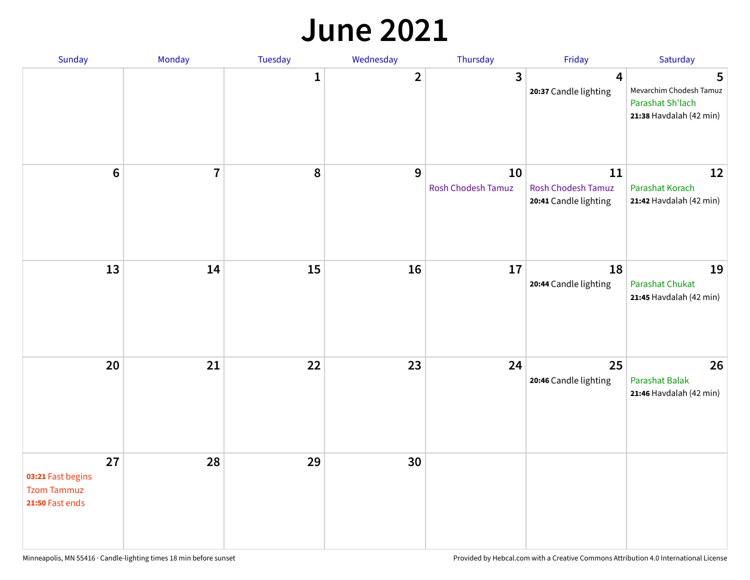#### **June 2021**

| Sunday                                                           | Monday         | Tuesday      | Wednesday    | Thursday                        | Friday                                                   | Saturday                                                                    |
|------------------------------------------------------------------|----------------|--------------|--------------|---------------------------------|----------------------------------------------------------|-----------------------------------------------------------------------------|
|                                                                  |                | $\mathbf{1}$ | $\mathbf{2}$ | 3                               | $\overline{\mathbf{4}}$<br>20:37 Candle lighting         | 5<br>Mevarchim Chodesh Tamuz<br>Parashat Sh'lach<br>21:38 Havdalah (42 min) |
| $\boldsymbol{6}$                                                 | $\overline{7}$ | 8            | 9            | 10<br><b>Rosh Chodesh Tamuz</b> | 11<br><b>Rosh Chodesh Tamuz</b><br>20:41 Candle lighting | 12<br>Parashat Korach<br>21:42 Havdalah (42 min)                            |
| 13                                                               | 14             | 15           | 16           | 17                              | 18<br>20:44 Candle lighting                              | 19<br>Parashat Chukat<br>21:45 Havdalah (42 min)                            |
| 20                                                               | 21             | 22           | 23           | 24                              | 25<br>20:46 Candle lighting                              | 26<br><b>Parashat Balak</b><br>21:46 Havdalah (42 min)                      |
| 27<br>03:21 Fast begins<br><b>Tzom Tammuz</b><br>21:50 Fast ends | 28             | 29           | 30           |                                 |                                                          |                                                                             |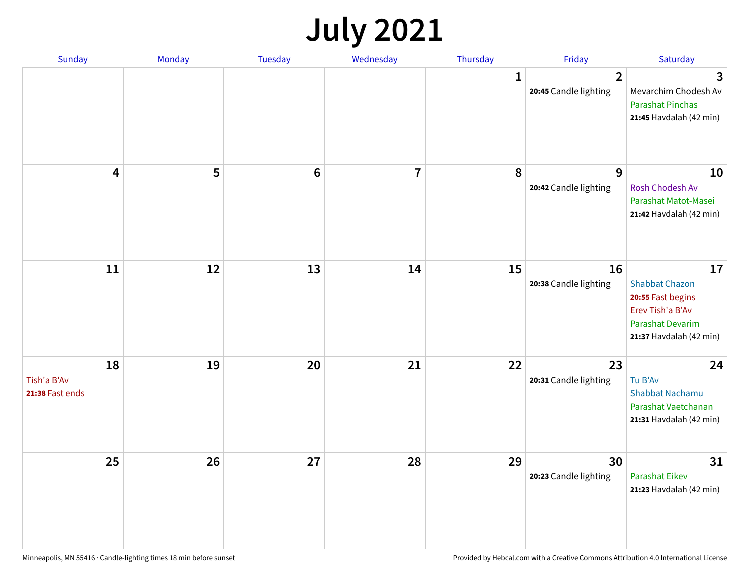# **July 2021**

| Sunday                               | Monday | Tuesday        | Wednesday               | Thursday     | Friday                                  | Saturday                                                                                                                   |
|--------------------------------------|--------|----------------|-------------------------|--------------|-----------------------------------------|----------------------------------------------------------------------------------------------------------------------------|
|                                      |        |                |                         | $\mathbf{1}$ | $\overline{2}$<br>20:45 Candle lighting | 3<br>Mevarchim Chodesh Av<br><b>Parashat Pinchas</b><br>21:45 Havdalah (42 min)                                            |
| 4                                    | 5      | $6\phantom{1}$ | $\overline{\mathbf{7}}$ | 8            | 9<br>20:42 Candle lighting              | 10<br>Rosh Chodesh Av<br>Parashat Matot-Masei<br>21:42 Havdalah (42 min)                                                   |
| 11                                   | 12     | 13             | 14                      | 15           | 16<br>20:38 Candle lighting             | 17<br><b>Shabbat Chazon</b><br>20:55 Fast begins<br>Erev Tish'a B'Av<br><b>Parashat Devarim</b><br>21:37 Havdalah (42 min) |
| 18<br>Tish'a B'Av<br>21:38 Fast ends | 19     | 20             | 21                      | 22           | 23<br>20:31 Candle lighting             | 24<br>Tu B'Av<br><b>Shabbat Nachamu</b><br>Parashat Vaetchanan<br>21:31 Havdalah (42 min)                                  |
| 25                                   | 26     | 27             | 28                      | 29           | 30<br>20:23 Candle lighting             | 31<br><b>Parashat Eikev</b><br>21:23 Havdalah (42 min)                                                                     |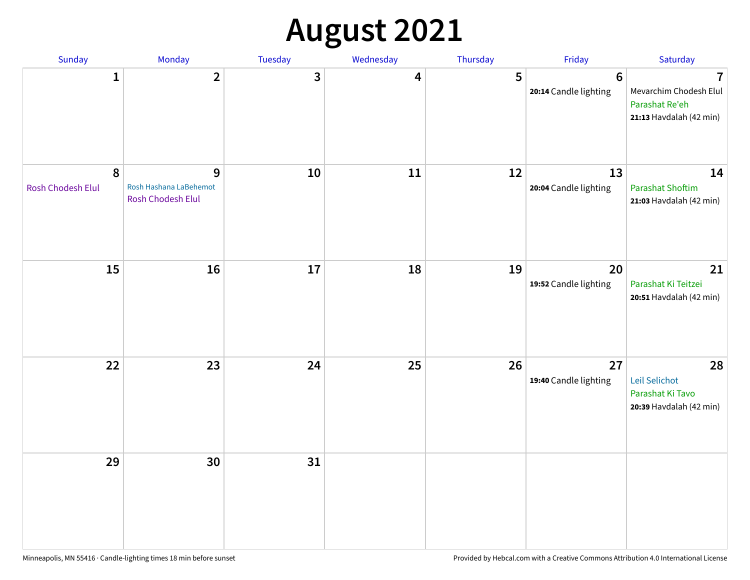# **August 2021**

| Sunday                 | Monday                                           | Tuesday | Wednesday | Thursday | Friday                                  | Saturday                                                                                       |
|------------------------|--------------------------------------------------|---------|-----------|----------|-----------------------------------------|------------------------------------------------------------------------------------------------|
| $\mathbf{1}$           | $\overline{2}$                                   | 3       | 4         | 5        | $6\phantom{1}$<br>20:14 Candle lighting | $\overline{\mathbf{7}}$<br>Mevarchim Chodesh Elul<br>Parashat Re'eh<br>21:13 Havdalah (42 min) |
| 8<br>Rosh Chodesh Elul | 9<br>Rosh Hashana LaBehemot<br>Rosh Chodesh Elul | 10      | 11        | 12       | 13<br>20:04 Candle lighting             | 14<br><b>Parashat Shoftim</b><br>21:03 Havdalah (42 min)                                       |
| 15                     | 16                                               | 17      | 18        | 19       | 20<br>19:52 Candle lighting             | 21<br>Parashat Ki Teitzei<br>20:51 Havdalah (42 min)                                           |
| 22                     | 23                                               | 24      | 25        | 26       | 27<br>19:40 Candle lighting             | 28<br>Leil Selichot<br>Parashat Ki Tavo<br>20:39 Havdalah (42 min)                             |
| 29                     | 30                                               | 31      |           |          |                                         |                                                                                                |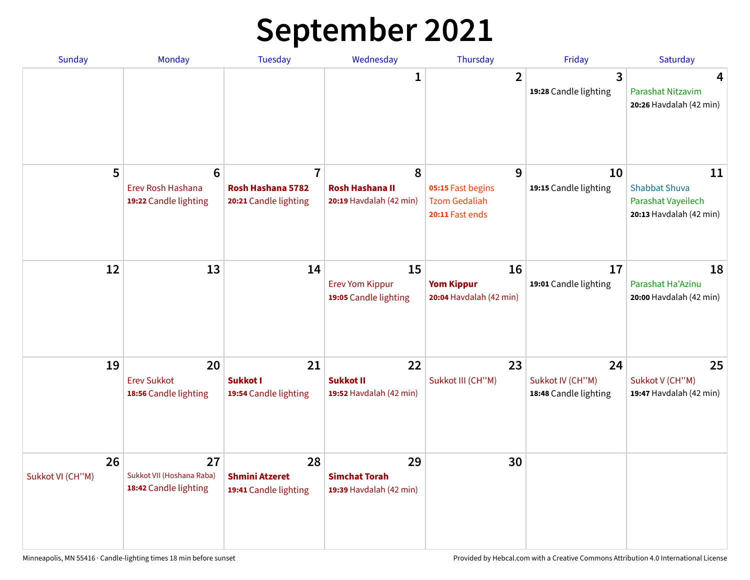# **September 2021**

| <b>Sunday</b>          | Monday                                                        | <b>Tuesday</b>                                               | Wednesday                                              | Thursday                                                          | Friday                                          | Saturday                                                                    |
|------------------------|---------------------------------------------------------------|--------------------------------------------------------------|--------------------------------------------------------|-------------------------------------------------------------------|-------------------------------------------------|-----------------------------------------------------------------------------|
|                        |                                                               |                                                              | 1                                                      | $\overline{2}$                                                    | 3<br>19:28 Candle lighting                      | 4<br>Parashat Nitzavim<br>20:26 Havdalah (42 min)                           |
| 5                      | $6\phantom{1}6$<br>Erev Rosh Hashana<br>19:22 Candle lighting | $\overline{7}$<br>Rosh Hashana 5782<br>20:21 Candle lighting | 8<br><b>Rosh Hashana II</b><br>20:19 Havdalah (42 min) | 9<br>05:15 Fast begins<br><b>Tzom Gedaliah</b><br>20:11 Fast ends | 10<br>19:15 Candle lighting                     | 11<br><b>Shabbat Shuva</b><br>Parashat Vayeilech<br>20:13 Havdalah (42 min) |
| 12                     | 13                                                            | 14                                                           | 15<br><b>Erev Yom Kippur</b><br>19:05 Candle lighting  | 16<br><b>Yom Kippur</b><br>20:04 Havdalah (42 min)                | 17<br>19:01 Candle lighting                     | 18<br>Parashat Ha'Azinu<br>20:00 Havdalah (42 min)                          |
| 19                     | 20<br><b>Erev Sukkot</b><br>18:56 Candle lighting             | 21<br><b>Sukkot I</b><br>19:54 Candle lighting               | 22<br><b>Sukkot II</b><br>19:52 Havdalah (42 min)      | 23<br>Sukkot III (CH"M)                                           | 24<br>Sukkot IV (CH"M)<br>18:48 Candle lighting | 25<br>Sukkot V (CH"M)<br>19:47 Havdalah (42 min)                            |
| 26<br>Sukkot VI (CH"M) | 27<br>Sukkot VII (Hoshana Raba)<br>18:42 Candle lighting      | 28<br><b>Shmini Atzeret</b><br>19:41 Candle lighting         | 29<br><b>Simchat Torah</b><br>19:39 Havdalah (42 min)  | 30                                                                |                                                 |                                                                             |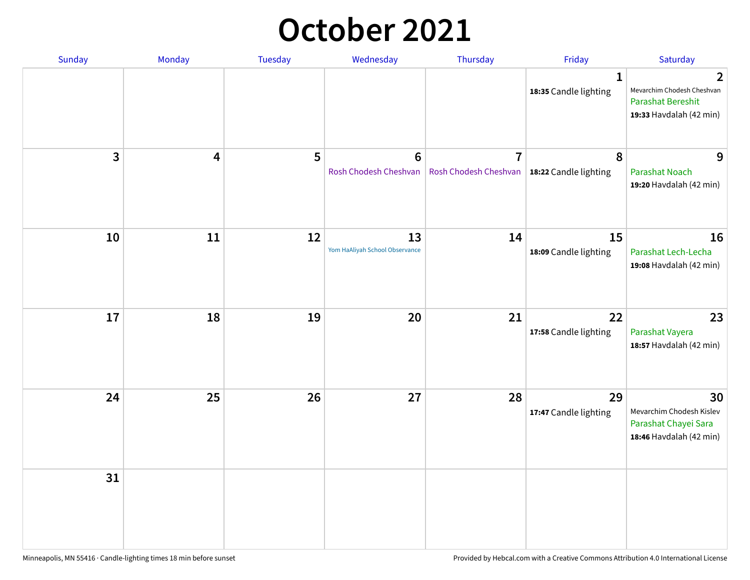### **October 2021**

| Sunday       | Monday | Tuesday | Wednesday                                | Thursday                                                        | Friday                                | Saturday                                                                               |
|--------------|--------|---------|------------------------------------------|-----------------------------------------------------------------|---------------------------------------|----------------------------------------------------------------------------------------|
|              |        |         |                                          |                                                                 | $\mathbf{1}$<br>18:35 Candle lighting | 2<br>Mevarchim Chodesh Cheshvan<br><b>Parashat Bereshit</b><br>19:33 Havdalah (42 min) |
| $\mathbf{3}$ | 4      | 5       | $6\phantom{1}6$<br>Rosh Chodesh Cheshvan | $\overline{7}$<br>Rosh Chodesh Cheshvan   18:22 Candle lighting | 8                                     | 9<br><b>Parashat Noach</b><br>19:20 Havdalah (42 min)                                  |
| 10           | 11     | 12      | 13<br>Yom HaAliyah School Observance     | 14                                                              | 15<br>18:09 Candle lighting           | 16<br>Parashat Lech-Lecha<br>19:08 Havdalah (42 min)                                   |
| 17           | 18     | 19      | 20                                       | 21                                                              | 22<br>17:58 Candle lighting           | 23<br>Parashat Vayera<br>18:57 Havdalah (42 min)                                       |
| 24           | 25     | 26      | 27                                       | 28                                                              | 29<br>17:47 Candle lighting           | 30<br>Mevarchim Chodesh Kislev<br>Parashat Chayei Sara<br>18:46 Havdalah (42 min)      |
| 31           |        |         |                                          |                                                                 |                                       |                                                                                        |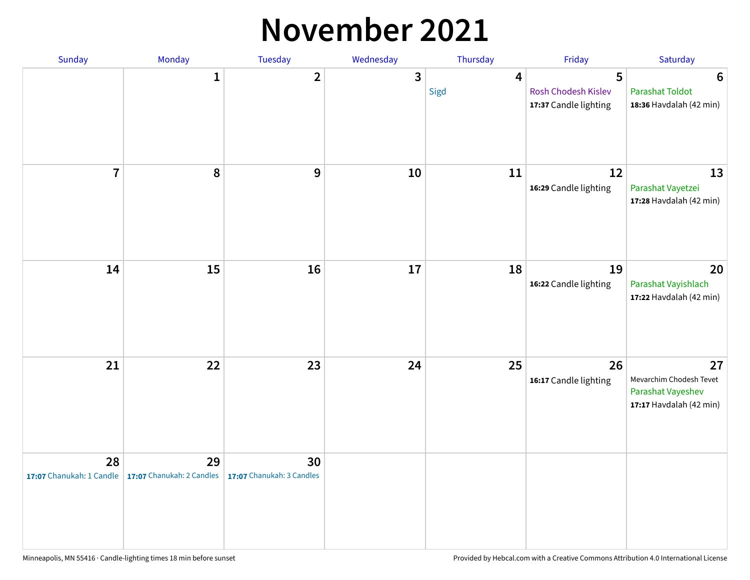#### **November 2021**

| Sunday         | Monday                                                           | Tuesday                         | Wednesday    | Thursday               | Friday                                            | Saturday                                                                      |
|----------------|------------------------------------------------------------------|---------------------------------|--------------|------------------------|---------------------------------------------------|-------------------------------------------------------------------------------|
|                | $\mathbf{1}$                                                     | $\mathbf{2}$                    | $\mathbf{3}$ | $\overline{4}$<br>Sigd | 5<br>Rosh Chodesh Kislev<br>17:37 Candle lighting | $6\phantom{1}6$<br><b>Parashat Toldot</b><br>18:36 Havdalah (42 min)          |
| $\overline{7}$ | 8                                                                | $\boldsymbol{9}$                | 10           | 11                     | 12<br>16:29 Candle lighting                       | 13<br>Parashat Vayetzei<br>17:28 Havdalah (42 min)                            |
| 14             | 15                                                               | 16                              | 17           | 18                     | 19<br>16:22 Candle lighting                       | 20<br>Parashat Vayishlach<br>17:22 Havdalah (42 min)                          |
| 21             | 22                                                               | 23                              | 24           | 25                     | 26<br>16:17 Candle lighting                       | 27<br>Mevarchim Chodesh Tevet<br>Parashat Vayeshev<br>17:17 Havdalah (42 min) |
| 28             | 29<br>17:07 Chanukah: 1 Candle $\vert$ 17:07 Chanukah: 2 Candles | 30<br>17:07 Chanukah: 3 Candles |              |                        |                                                   |                                                                               |